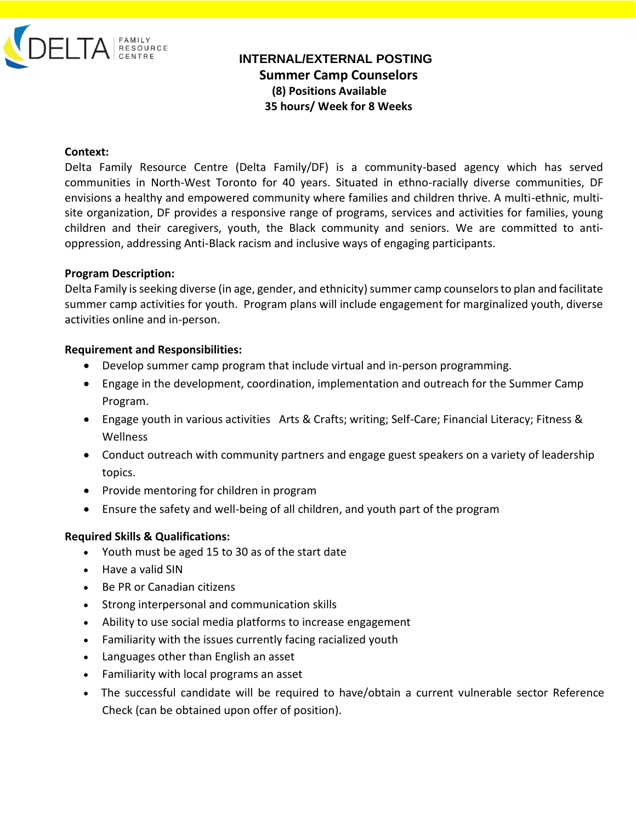

# **INTERNAL/EXTERNAL POSTING Summer Camp Counselors (8) Positions Available 35 hours/ Week for 8 Weeks**

#### **Context:**

Delta Family Resource Centre (Delta Family/DF) is a community-based agency which has served communities in North-West Toronto for 40 years. Situated in ethno-racially diverse communities, DF envisions a healthy and empowered community where families and children thrive. A multi-ethnic, multisite organization, DF provides a responsive range of programs, services and activities for families, young children and their caregivers, youth, the Black community and seniors. We are committed to antioppression, addressing Anti-Black racism and inclusive ways of engaging participants.

#### **Program Description:**

Delta Family is seeking diverse (in age, gender, and ethnicity) summer camp counselors to plan and facilitate summer camp activities for youth. Program plans will include engagement for marginalized youth, diverse activities online and in-person.

#### **Requirement and Responsibilities:**

- Develop summer camp program that include virtual and in-person programming.
- Engage in the development, coordination, implementation and outreach for the Summer Camp Program.
- Engage youth in various activities Arts & Crafts; writing; Self-Care; Financial Literacy; Fitness & Wellness
- Conduct outreach with community partners and engage guest speakers on a variety of leadership topics.
- Provide mentoring for children in program
- Ensure the safety and well-being of all children, and youth part of the program

### **Required Skills & Qualifications:**

- Youth must be aged 15 to 30 as of the start date
- Have a valid SIN
- Be PR or Canadian citizens
- Strong interpersonal and communication skills
- Ability to use social media platforms to increase engagement
- Familiarity with the issues currently facing racialized youth
- Languages other than English an asset
- Familiarity with local programs an asset
- The successful candidate will be required to have/obtain a current vulnerable sector Reference Check (can be obtained upon offer of position).